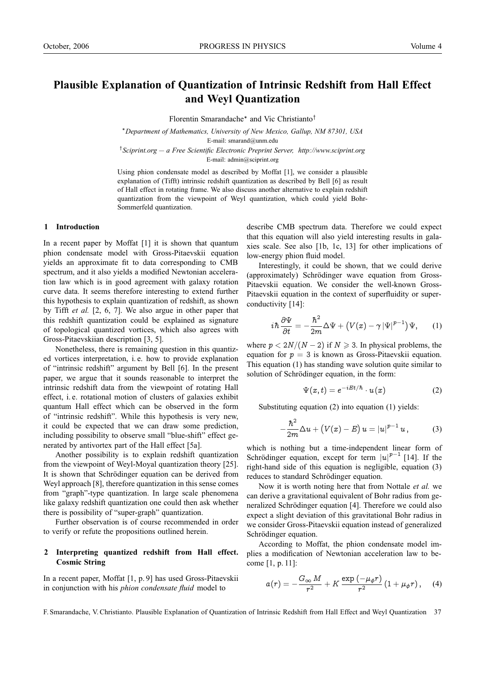# **Plausible Explanation of Quantization of Intrinsic Redshift from Hall Effect and Weyl Quantization**

Florentin Smarandache∗ and Vic Christianto†

<sup>∗</sup>*Department of Mathematics, University of New Mexico, Gallup, NM 87301, USA* E-mail: smarand@unm.edu

† *Sciprint.org — a Free Scientific Electronic Preprint Server, http://www.sciprint.org* E-mail: admin@sciprint.org

Using phion condensate model as described by Moffat [1], we consider a plausible explanation of (Tifft) intrinsic redshift quantization as described by Bell [6] as result of Hall effect in rotating frame. We also discuss another alternative to explain redshift quantization from the viewpoint of Weyl quantization, which could yield Bohr-Sommerfeld quantization.

## **1 Introduction**

In a recent paper by Moffat [1] it is shown that quantum phion condensate model with Gross-Pitaevskii equation yields an approximate fit to data corresponding to CMB spectrum, and it also yields a modified Newtonian acceleration law which is in good agreement with galaxy rotation curve data. It seems therefore interesting to extend further this hypothesis to explain quantization of redshift, as shown by Tifft *et al.* [2, 6, 7]. We also argue in other paper that this redshift quantization could be explained as signature of topological quantized vortices, which also agrees with Gross-Pitaevskiian description [3, 5].

Nonetheless, there is remaining question in this quantized vortices interpretation, i. e. how to provide explanation of "intrinsic redshift" argument by Bell [6]. In the present paper, we argue that it sounds reasonable to interpret the intrinsic redshift data from the viewpoint of rotating Hall effect, i. e. rotational motion of clusters of galaxies exhibit quantum Hall effect which can be observed in the form of "intrinsic redshift". While this hypothesis is very new, it could be expected that we can draw some prediction, including possibility to observe small "blue-shift" effect generated by antivortex part of the Hall effect [5a].

Another possibility is to explain redshift quantization from the viewpoint of Weyl-Moyal quantization theory [25]. It is shown that Schrödinger equation can be derived from Weyl approach [8], therefore quantization in this sense comes from "graph"-type quantization. In large scale phenomena like galaxy redshift quantization one could then ask whether there is possibility of "super-graph" quantization.

Further observation is of course recommended in order to verify or refute the propositions outlined herein.

## **2 Interpreting quantized redshift from Hall effect. Cosmic String**

In a recent paper, Moffat [1, p. 9] has used Gross-Pitaevskii in conjunction with his *phion condensate fluid* model to

describe CMB spectrum data. Therefore we could expect that this equation will also yield interesting results in galaxies scale. See also [1b, 1c, 13] for other implications of low-energy phion fluid model.

Interestingly, it could be shown, that we could derive (approximately) Schrödinger wave equation from Gross-Pitaevskii equation. We consider the well-known Gross-Pitaevskii equation in the context of superfluidity or superconductivity [14]:

$$
i\hbar \frac{\partial \Psi}{\partial t} = -\frac{\hbar^2}{2m} \Delta \Psi + \left( V(x) - \gamma |\Psi|^{p-1} \right) \Psi, \qquad (1)
$$

where  $p < 2N/(N-2)$  if  $N \ge 3$ . In physical problems, the equation for  $p = 3$  is known as Gross-Pitaevskii equation. This equation (1) has standing wave solution quite similar to solution of Schrödinger equation, in the form:

$$
\Psi(x,t) = e^{-iEt/\hbar} \cdot u(x) \tag{2}
$$

Substituting equation (2) into equation (1) yields:

$$
-\frac{\hbar^2}{2m}\Delta u + (V(x)-E) u = |u|^{p-1} u, \qquad (3)
$$

which is nothing but a time-independent linear form of Schrödinger equation, except for term  $|u|^{p-1}$  [14]. If the right-hand side of this equation is negligible, equation (3) reduces to standard Schrödinger equation.

Now it is worth noting here that from Nottale *et al.* we can derive a gravitational equivalent of Bohr radius from generalized Schrödinger equation [4]. Therefore we could also expect a slight deviation of this gravitational Bohr radius in we consider Gross-Pitaevskii equation instead of generalized Schrödinger equation.

According to Moffat, the phion condensate model implies a modification of Newtonian acceleration law to become [1, p. 11]:

$$
a(r)=-\frac{G_\infty\,M}{r^2}+K\,\frac{\exp\left(-\mu_\phi r\right)}{r^2}\left(1+\mu_\phi r\right),\quad \ (4)
$$

F. Smarandache, V. Christianto. Plausible Explanation of Quantization of Intrinsic Redshift from Hall Effect and Weyl Quantization 37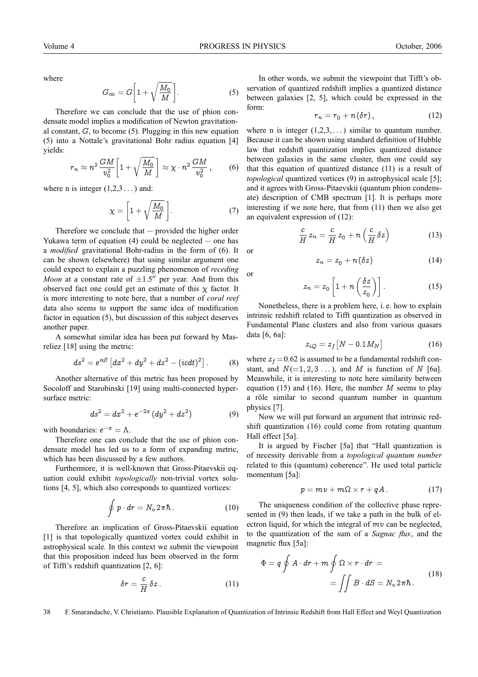where

$$
G_{\infty} = G \bigg[ 1 + \sqrt{\frac{M_0}{M}} \bigg]. \tag{5}
$$

Therefore we can conclude that the use of phion condensate model implies a modification of Newton gravitational constant,  $G$ , to become  $(5)$ . Plugging in this new equation (5) into a Nottale's gravitational Bohr radius equation [4] yields:

$$
r_n \approx n^2 \frac{GM}{v_0^2} \bigg[ 1 + \sqrt{\frac{M_0}{M}} \bigg] \approx \chi \cdot n^2 \frac{GM}{v_0^2} ,\qquad (6)
$$

where n is integer  $(1,2,3...)$  and:

$$
\chi = \left[1 + \sqrt{\frac{M_0}{M}}\right].\tag{7}
$$

Therefore we conclude that  $-$  provided the higher order Yukawa term of equation  $(4)$  could be neglected — one has a *modified* gravitational Bohr-radius in the form of (6). It can be shown (elsewhere) that using similar argument one could expect to explain a puzzling phenomenon of *receding Moon* at a constant rate of  $\pm 1.5$ <sup>"</sup> per year. And from this observed fact one could get an estimate of this  $\chi$  factor. It is more interesting to note here, that a number of *coral reef* data also seems to support the same idea of modification factor in equation (5), but discussion of this subject deserves another paper.

A somewhat similar idea has been put forward by Masreliez [18] using the metric:

$$
ds2 = e\alpha\beta [dx2 + dy2 + dz2 - (icdt)2].
$$
 (8)

Another alternative of this metric has been proposed by Socoloff and Starobinski [19] using multi-connected hypersurface metric:

$$
ds^2 = dx^2 + e^{-2x} (dy^2 + dz^2)
$$
 (9)

with boundaries:  $e^{-x} = \Lambda$ .

Therefore one can conclude that the use of phion condensate model has led us to a form of expanding metric, which has been discussed by a few authors.

Furthermore, it is well-known that Gross-Pitaevskii equation could exhibit *topologically* non-trivial vortex solutions [4, 5], which also corresponds to quantized vortices:

$$
\oint p \cdot dr = N_v 2\pi \hbar. \tag{10}
$$

Therefore an implication of Gross-Pitaevskii equation [1] is that topologically quantized vortex could exhibit in astrophysical scale. In this context we submit the viewpoint that this proposition indeed has been observed in the form of Tifft's redshift quantization [2, 6]:

$$
\delta r = \frac{c}{H} \, \delta z \,. \tag{11}
$$

In other words, we submit the viewpoint that Tifft's observation of quantized redshift implies a quantized distance between galaxies [2, 5], which could be expressed in the form:

$$
r_n = r_0 + n(\delta r), \qquad (12)
$$

where n is integer  $(1,2,3,...)$  similar to quantum number. Because it can be shown using standard definition of Hubble law that redshift quantization implies quantized distance between galaxies in the same cluster, then one could say that this equation of quantized distance (11) is a result of *topological* quantized vortices (9) in astrophysical scale [5]; and it agrees with Gross-Pitaevskii (quantum phion condensate) description of CMB spectrum [1]. It is perhaps more interesting if we note here, that from (11) then we also get an equivalent expression of (12):

$$
\frac{c}{H}z_n = \frac{c}{H}z_0 + n\left(\frac{c}{H}\delta z\right) \tag{13}
$$

or

or

$$
z_n = z_0 + n(\delta z) \tag{14}
$$

 $(15)$ 

$$
z_n=z_0\left[1+n\left(\frac{\delta z}{z_0}\right)\right].
$$

Nonetheless, there is a problem here, i. e. how to explain intrinsic redshift related to Tifft quantization as observed in Fundamental Plane clusters and also from various quasars data [6, 6a]:

$$
z_{iQ} = z_f \left[ N - 0.1 M_N \right] \tag{16}
$$

where  $z_f = 0.62$  is assumed to be a fundamental redshift constant, and  $N(=1, 2, 3...)$ , and M is function of N [6a]. Meanwhile, it is interesting to note here similarity between equation (15) and (16). Here, the number  $M$  seems to play a rôle similar to second quantum number in quantum physics [7].

Now we will put forward an argument that intrinsic redshift quantization (16) could come from rotating quantum Hall effect [5a].

It is argued by Fischer [5a] that "Hall quantization is of necessity derivable from a *topological quantum number* related to this (quantum) coherence". He used total particle momentum [5a]:

$$
p = mv + m\Omega \times r + qA. \qquad (17)
$$

The uniqueness condition of the collective phase represented in (9) then leads, if we take a path in the bulk of electron liquid, for which the integral of  $mv$  can be neglected, to the quantization of the sum of a *Sagnac flux*, and the magnetic flux [5a]:

$$
\Phi = q \oint A \cdot dr + m \oint \Omega \times r \cdot dr =
$$

$$
= \iint B \cdot dS = N_v 2 \pi \hbar.
$$
 (18)

38 F. Smarandache, V. Christianto. Plausible Explanation of Quantization of Intrinsic Redshift from Hall Effect and Weyl Quantization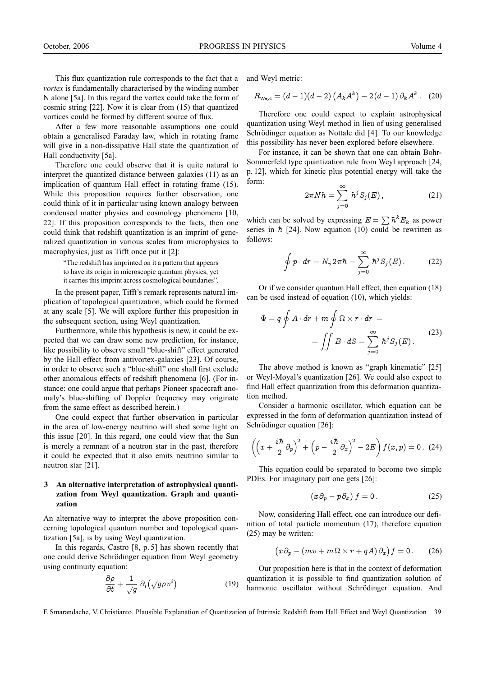This flux quantization rule corresponds to the fact that a *vortex* is fundamentally characterised by the winding number N alone [5a]. In this regard the vortex could take the form of cosmic string [22]. Now it is clear from (15) that quantized vortices could be formed by different source of flux.

After a few more reasonable assumptions one could obtain a generalised Faraday law, which in rotating frame will give in a non-dissipative Hall state the quantization of Hall conductivity [5a].

Therefore one could observe that it is quite natural to interpret the quantized distance between galaxies (11) as an implication of quantum Hall effect in rotating frame (15). While this proposition requires further observation, one could think of it in particular using known analogy between condensed matter physics and cosmology phenomena [10, 22]. If this proposition corresponds to the facts, then one could think that redshift quantization is an imprint of generalized quantization in various scales from microphysics to macrophysics, just as Tifft once put it [2]:

> "The redshift has imprinted on it a pattern that appears to have its origin in microscopic quantum physics, yet it carries this imprint across cosmological boundaries".

In the present paper, Tifft's remark represents natural implication of topological quantization, which could be formed at any scale [5]. We will explore further this proposition in the subsequent section, using Weyl quantization.

Furthermore, while this hypothesis is new, it could be expected that we can draw some new prediction, for instance, like possibility to observe small "blue-shift" effect generated by the Hall effect from antivortex-galaxies [23]. Of course, in order to observe such a "blue-shift" one shall first exclude other anomalous effects of redshift phenomena [6]. (For instance: one could argue that perhaps Pioneer spacecraft anomaly's blue-shifting of Doppler frequency may originate from the same effect as described herein.)

One could expect that further observation in particular in the area of low-energy neutrino will shed some light on this issue [20]. In this regard, one could view that the Sun is merely a remnant of a neutron star in the past, therefore it could be expected that it also emits neutrino similar to neutron star [21].

## **3 An alternative interpretation of astrophysical quantization from Weyl quantization. Graph and quantization**

An alternative way to interpret the above proposition concerning topological quantum number and topological quantization [5a], is by using Weyl quantization.

In this regards, Castro [8, p. 5] has shown recently that one could derive Schrödinger equation from Weyl geometry using continuity equation:

$$
\frac{\partial \rho}{\partial t} + \frac{1}{\sqrt{g}} \, \partial_i \big( \sqrt{g} \rho \, v^i \big) \tag{19}
$$

and Weyl metric:

$$
R_{\text{Weyl}} = (d-1)(d-2)\left(A_k A^k\right) - 2(d-1)\partial_k A^k. \quad (20)
$$

Therefore one could expect to explain astrophysical quantization using Weyl method in lieu of using generalised Schrödinger equation as Nottale did [4]. To our knowledge this possibility has never been explored before elsewhere.

For instance, it can be shown that one can obtain Bohr-Sommerfeld type quantization rule from Weyl approach [24, p. 12], which for kinetic plus potential energy will take the form:

$$
2\pi N\hbar = \sum_{j=0}^{\infty} \hbar^j S_j(E), \qquad (21)
$$

which can be solved by expressing  $E = \sum \hbar^k E_k$  as power series in  $\hbar$  [24]. Now equation (10) could be rewritten as follows:

$$
\oint p \cdot dr = N_v 2\pi \hbar = \sum_{j=0}^{\infty} \hbar^j S_j(E). \tag{22}
$$

Or if we consider quantum Hall effect, then equation (18) can be used instead of equation (10), which yields:

$$
\Phi = q \oint A \cdot dr + m \oint \Omega \times r \cdot dr =
$$

$$
= \iint B \cdot dS = \sum_{j=0}^{\infty} \hbar^j S_j(E).
$$
 (23)

The above method is known as "graph kinematic" [25] or Weyl-Moyal's quantization [26]. We could also expect to find Hall effect quantization from this deformation quantization method.

Consider a harmonic oscillator, which equation can be expressed in the form of deformation quantization instead of Schrödinger equation [26]:

$$
\left(\left(x+\frac{i\hbar}{2}\partial_p\right)^2+\left(p-\frac{i\hbar}{2}\partial_x\right)^2-2E\right)f(x,p)=0.
$$
 (24)

This equation could be separated to become two simple PDEs. For imaginary part one gets [26]:

$$
(x\,\partial_p - p\,\partial_x)\,f = 0\,.
$$
 (25)

Now, considering Hall effect, one can introduce our definition of total particle momentum (17), therefore equation (25) may be written:

$$
(x\partial_p - (mv + m\Omega \times r + qA)\partial_x) f = 0.
$$
 (26)

Our proposition here is that in the context of deformation quantization it is possible to find quantization solution of harmonic oscillator without Schrödinger equation. And

F. Smarandache, V. Christianto. Plausible Explanation of Quantization of Intrinsic Redshift from Hall Effect and Weyl Quantization 39